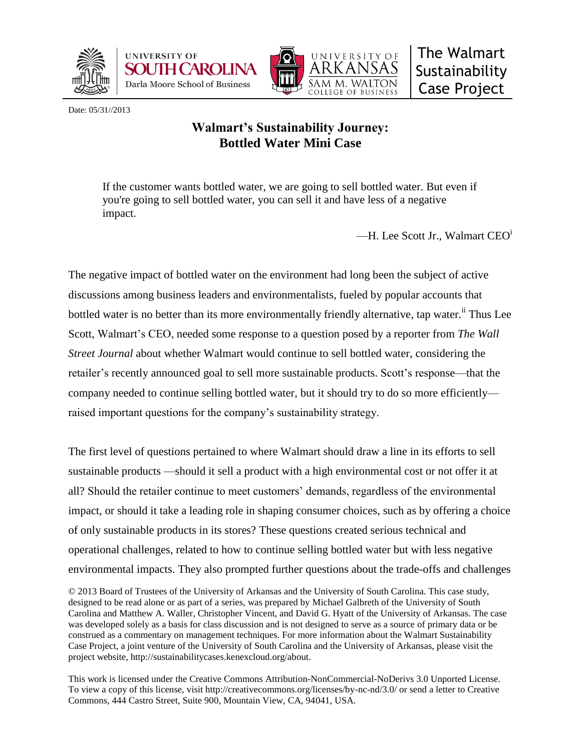





Date: 05/31//2013

# **Walmart's Sustainability Journey: Bottled Water Mini Case**

If the customer wants bottled water, we are going to sell bottled water. But even if you're going to sell bottled water, you can sell it and have less of a negative impact.

—H. Lee Scott Jr., Walmart CEO<sup>i</sup>

The negative impact of bottled water on the environment had long been the subject of active discussions among business leaders and environmentalists, fueled by popular accounts that bottled water is no better than its more environmentally friendly alternative, tap water.<sup>ii</sup> Thus Lee Scott, Walmart's CEO, needed some response to a question posed by a reporter from *The Wall Street Journal* about whether Walmart would continue to sell bottled water, considering the retailer's recently announced goal to sell more sustainable products. Scott's response—that the company needed to continue selling bottled water, but it should try to do so more efficiently raised important questions for the company's sustainability strategy.

The first level of questions pertained to where Walmart should draw a line in its efforts to sell sustainable products —should it sell a product with a high environmental cost or not offer it at all? Should the retailer continue to meet customers' demands, regardless of the environmental impact, or should it take a leading role in shaping consumer choices, such as by offering a choice of only sustainable products in its stores? These questions created serious technical and operational challenges, related to how to continue selling bottled water but with less negative environmental impacts. They also prompted further questions about the trade-offs and challenges

This work is licensed under the Creative Commons Attribution-NonCommercial-NoDerivs 3.0 Unported License. To view a copy of this license, visit http://creativecommons.org/licenses/by-nc-nd/3.0/ or send a letter to Creative Commons, 444 Castro Street, Suite 900, Mountain View, CA, 94041, USA.

<sup>© 2013</sup> Board of Trustees of the University of Arkansas and the University of South Carolina. This case study, designed to be read alone or as part of a series, was prepared by Michael Galbreth of the University of South Carolina and Matthew A. Waller, Christopher Vincent, and David G. Hyatt of the University of Arkansas. The case was developed solely as a basis for class discussion and is not designed to serve as a source of primary data or be construed as a commentary on management techniques. For more information about the Walmart Sustainability Case Project, a joint venture of the University of South Carolina and the University of Arkansas, please visit the project website, http://sustainabilitycases.kenexcloud.org/about.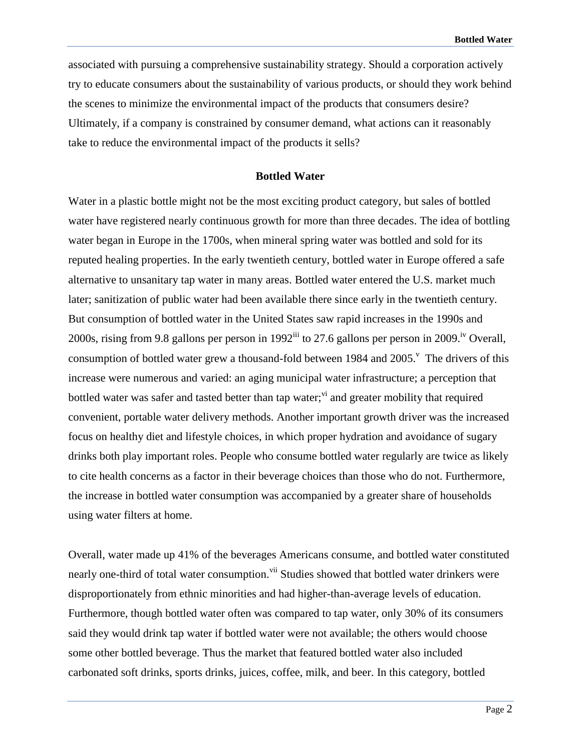associated with pursuing a comprehensive sustainability strategy. Should a corporation actively try to educate consumers about the sustainability of various products, or should they work behind the scenes to minimize the environmental impact of the products that consumers desire? Ultimately, if a company is constrained by consumer demand, what actions can it reasonably take to reduce the environmental impact of the products it sells?

#### **Bottled Water**

Water in a plastic bottle might not be the most exciting product category, but sales of bottled water have registered nearly continuous growth for more than three decades. The idea of bottling water began in Europe in the 1700s, when mineral spring water was bottled and sold for its reputed healing properties. In the early twentieth century, bottled water in Europe offered a safe alternative to unsanitary tap water in many areas. Bottled water entered the U.S. market much later; sanitization of public water had been available there since early in the twentieth century. But consumption of bottled water in the United States saw rapid increases in the 1990s and 2000s, rising from 9.8 gallons per person in 1992<sup>iii</sup> to 27.6 gallons per person in 2009.<sup>iv</sup> Overall, consumption of bottled water grew a thousand-fold between 1984 and  $2005$ .<sup>V</sup> The drivers of this increase were numerous and varied: an aging municipal water infrastructure; a perception that bottled water was safer and tasted better than tap water;<sup>vi</sup> and greater mobility that required convenient, portable water delivery methods. Another important growth driver was the increased focus on healthy diet and lifestyle choices, in which proper hydration and avoidance of sugary drinks both play important roles. People who consume bottled water regularly are twice as likely to cite health concerns as a factor in their beverage choices than those who do not. Furthermore, the increase in bottled water consumption was accompanied by a greater share of households using water filters at home.

Overall, water made up 41% of the beverages Americans consume, and bottled water constituted nearly one-third of total water consumption.<sup>vii</sup> Studies showed that bottled water drinkers were disproportionately from ethnic minorities and had higher-than-average levels of education. Furthermore, though bottled water often was compared to tap water, only 30% of its consumers said they would drink tap water if bottled water were not available; the others would choose some other bottled beverage. Thus the market that featured bottled water also included carbonated soft drinks, sports drinks, juices, coffee, milk, and beer. In this category, bottled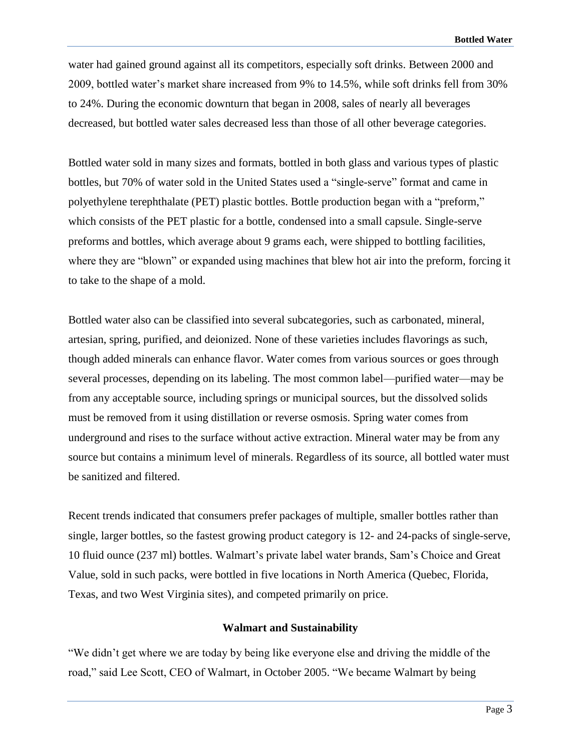water had gained ground against all its competitors, especially soft drinks. Between 2000 and 2009, bottled water's market share increased from 9% to 14.5%, while soft drinks fell from 30% to 24%. During the economic downturn that began in 2008, sales of nearly all beverages decreased, but bottled water sales decreased less than those of all other beverage categories.

Bottled water sold in many sizes and formats, bottled in both glass and various types of plastic bottles, but 70% of water sold in the United States used a "single-serve" format and came in polyethylene terephthalate (PET) plastic bottles. Bottle production began with a "preform," which consists of the PET plastic for a bottle, condensed into a small capsule. Single-serve preforms and bottles, which average about 9 grams each, were shipped to bottling facilities, where they are "blown" or expanded using machines that blew hot air into the preform, forcing it to take to the shape of a mold.

Bottled water also can be classified into several subcategories, such as carbonated, mineral, artesian, spring, purified, and deionized. None of these varieties includes flavorings as such, though added minerals can enhance flavor. Water comes from various sources or goes through several processes, depending on its labeling. The most common label—purified water—may be from any acceptable source, including springs or municipal sources, but the dissolved solids must be removed from it using distillation or reverse osmosis. Spring water comes from underground and rises to the surface without active extraction. Mineral water may be from any source but contains a minimum level of minerals. Regardless of its source, all bottled water must be sanitized and filtered.

Recent trends indicated that consumers prefer packages of multiple, smaller bottles rather than single, larger bottles, so the fastest growing product category is 12- and 24-packs of single-serve, 10 fluid ounce (237 ml) bottles. Walmart's private label water brands, Sam's Choice and Great Value, sold in such packs, were bottled in five locations in North America (Quebec, Florida, Texas, and two West Virginia sites), and competed primarily on price.

# **Walmart and Sustainability**

"We didn't get where we are today by being like everyone else and driving the middle of the road," said Lee Scott, CEO of Walmart, in October 2005. "We became Walmart by being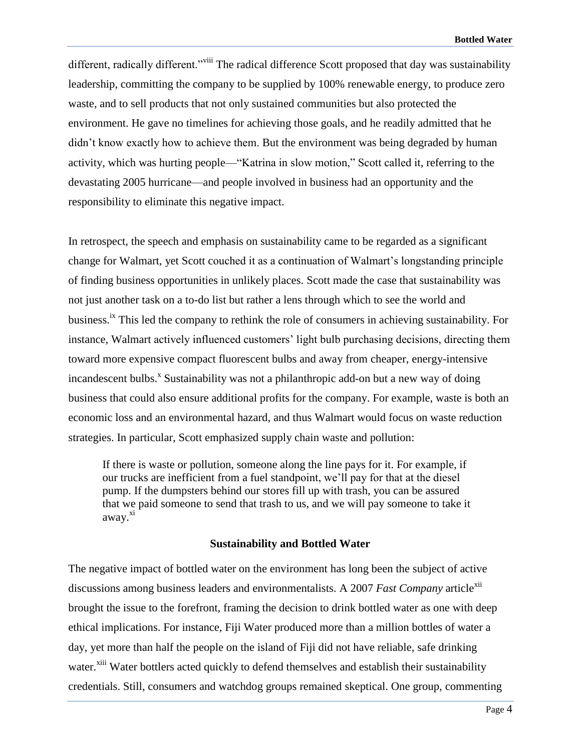different, radically different."<sup>viii</sup> The radical difference Scott proposed that day was sustainability leadership, committing the company to be supplied by 100% renewable energy, to produce zero waste, and to sell products that not only sustained communities but also protected the environment. He gave no timelines for achieving those goals, and he readily admitted that he didn't know exactly how to achieve them. But the environment was being degraded by human activity, which was hurting people—"Katrina in slow motion," Scott called it, referring to the devastating 2005 hurricane—and people involved in business had an opportunity and the responsibility to eliminate this negative impact.

In retrospect, the speech and emphasis on sustainability came to be regarded as a significant change for Walmart, yet Scott couched it as a continuation of Walmart's longstanding principle of finding business opportunities in unlikely places. Scott made the case that sustainability was not just another task on a to-do list but rather a lens through which to see the world and business.<sup>ix</sup> This led the company to rethink the role of consumers in achieving sustainability. For instance, Walmart actively influenced customers' light bulb purchasing decisions, directing them toward more expensive compact fluorescent bulbs and away from cheaper, energy-intensive incandescent bulbs.<sup>x</sup> Sustainability was not a philanthropic add-on but a new way of doing business that could also ensure additional profits for the company. For example, waste is both an economic loss and an environmental hazard, and thus Walmart would focus on waste reduction strategies. In particular, Scott emphasized supply chain waste and pollution:

If there is waste or pollution, someone along the line pays for it. For example, if our trucks are inefficient from a fuel standpoint, we'll pay for that at the diesel pump. If the dumpsters behind our stores fill up with trash, you can be assured that we paid someone to send that trash to us, and we will pay someone to take it away.<sup>xi</sup>

#### **Sustainability and Bottled Water**

The negative impact of bottled water on the environment has long been the subject of active discussions among business leaders and environmentalists. A 2007 *Fast Company* article<sup>xii</sup> brought the issue to the forefront, framing the decision to drink bottled water as one with deep ethical implications. For instance, Fiji Water produced more than a million bottles of water a day, yet more than half the people on the island of Fiji did not have reliable, safe drinking water.<sup>xiii</sup> Water bottlers acted quickly to defend themselves and establish their sustainability credentials. Still, consumers and watchdog groups remained skeptical. One group, commenting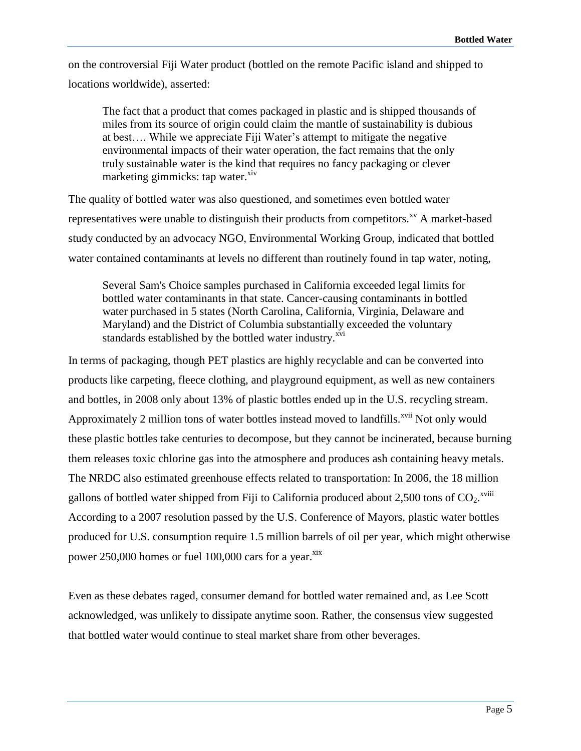on the controversial Fiji Water product (bottled on the remote Pacific island and shipped to locations worldwide), asserted:

The fact that a product that comes packaged in plastic and is shipped thousands of miles from its source of origin could claim the mantle of sustainability is dubious at best…. While we appreciate Fiji Water's attempt to mitigate the negative environmental impacts of their water operation, the fact remains that the only truly sustainable water is the kind that requires no fancy packaging or clever marketing gimmicks: tap water.<sup>xiv</sup>

The quality of bottled water was also questioned, and sometimes even bottled water representatives were unable to distinguish their products from competitors.<sup>xv</sup> A market-based study conducted by an advocacy NGO, Environmental Working Group, indicated that bottled water contained contaminants at levels no different than routinely found in tap water, noting,

Several Sam's Choice samples purchased in California exceeded legal limits for bottled water contaminants in that state. Cancer-causing contaminants in bottled water purchased in 5 states (North Carolina, California, Virginia, Delaware and Maryland) and the District of Columbia substantially exceeded the voluntary standards established by the bottled water industry.<sup>xvi</sup>

In terms of packaging, though PET plastics are highly recyclable and can be converted into products like carpeting, fleece clothing, and playground equipment, as well as new containers and bottles, in 2008 only about 13% of plastic bottles ended up in the U.S. recycling stream. Approximately 2 million tons of water bottles instead moved to landfills.<sup>xvii</sup> Not only would these plastic bottles take centuries to decompose, but they cannot be incinerated, because burning them releases toxic chlorine gas into the atmosphere and produces ash containing heavy metals. The NRDC also estimated greenhouse effects related to transportation: In 2006, the 18 million gallons of bottled water shipped from Fiji to California produced about 2,500 tons of  $CO_2$ .<sup>xviii</sup> According to a 2007 resolution passed by the U.S. Conference of Mayors, plastic water bottles produced for U.S. consumption require 1.5 million barrels of oil per year, which might otherwise power 250,000 homes or fuel 100,000 cars for a year.<sup>xix</sup>

Even as these debates raged, consumer demand for bottled water remained and, as Lee Scott acknowledged, was unlikely to dissipate anytime soon. Rather, the consensus view suggested that bottled water would continue to steal market share from other beverages.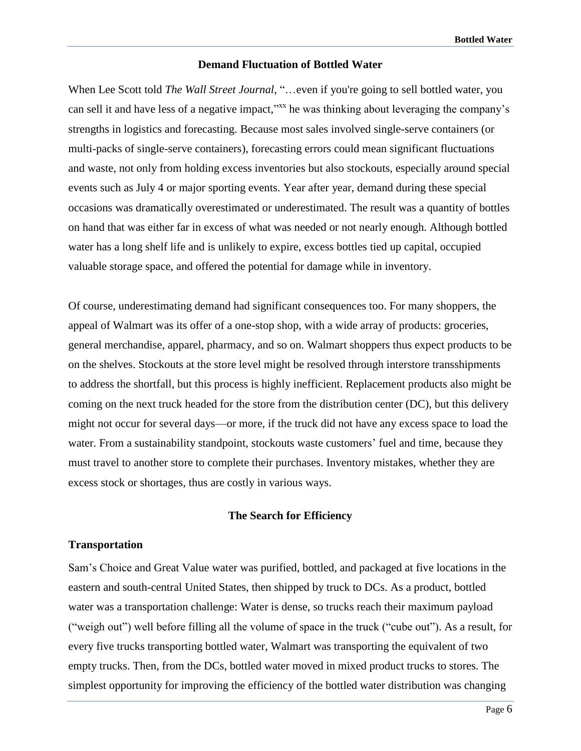## **Demand Fluctuation of Bottled Water**

When Lee Scott told *The Wall Street Journal*, "…even if you're going to sell bottled water, you can sell it and have less of a negative impact,"<sup>xx</sup> he was thinking about leveraging the company's strengths in logistics and forecasting. Because most sales involved single-serve containers (or multi-packs of single-serve containers), forecasting errors could mean significant fluctuations and waste, not only from holding excess inventories but also stockouts, especially around special events such as July 4 or major sporting events. Year after year, demand during these special occasions was dramatically overestimated or underestimated. The result was a quantity of bottles on hand that was either far in excess of what was needed or not nearly enough. Although bottled water has a long shelf life and is unlikely to expire, excess bottles tied up capital, occupied valuable storage space, and offered the potential for damage while in inventory.

Of course, underestimating demand had significant consequences too. For many shoppers, the appeal of Walmart was its offer of a one-stop shop, with a wide array of products: groceries, general merchandise, apparel, pharmacy, and so on. Walmart shoppers thus expect products to be on the shelves. Stockouts at the store level might be resolved through interstore transshipments to address the shortfall, but this process is highly inefficient. Replacement products also might be coming on the next truck headed for the store from the distribution center (DC), but this delivery might not occur for several days—or more, if the truck did not have any excess space to load the water. From a sustainability standpoint, stockouts waste customers' fuel and time, because they must travel to another store to complete their purchases. Inventory mistakes, whether they are excess stock or shortages, thus are costly in various ways.

## **The Search for Efficiency**

# **Transportation**

Sam's Choice and Great Value water was purified, bottled, and packaged at five locations in the eastern and south-central United States, then shipped by truck to DCs. As a product, bottled water was a transportation challenge: Water is dense, so trucks reach their maximum payload ("weigh out") well before filling all the volume of space in the truck ("cube out"). As a result, for every five trucks transporting bottled water, Walmart was transporting the equivalent of two empty trucks. Then, from the DCs, bottled water moved in mixed product trucks to stores. The simplest opportunity for improving the efficiency of the bottled water distribution was changing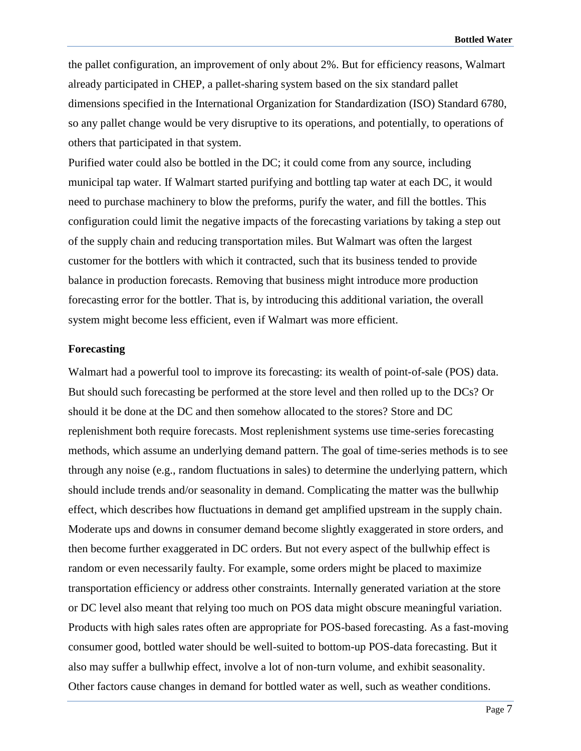the pallet configuration, an improvement of only about 2%. But for efficiency reasons, Walmart already participated in CHEP, a pallet-sharing system based on the six standard pallet dimensions specified in the International Organization for Standardization (ISO) Standard 6780, so any pallet change would be very disruptive to its operations, and potentially, to operations of others that participated in that system.

Purified water could also be bottled in the DC; it could come from any source, including municipal tap water. If Walmart started purifying and bottling tap water at each DC, it would need to purchase machinery to blow the preforms, purify the water, and fill the bottles. This configuration could limit the negative impacts of the forecasting variations by taking a step out of the supply chain and reducing transportation miles. But Walmart was often the largest customer for the bottlers with which it contracted, such that its business tended to provide balance in production forecasts. Removing that business might introduce more production forecasting error for the bottler. That is, by introducing this additional variation, the overall system might become less efficient, even if Walmart was more efficient.

## **Forecasting**

Walmart had a powerful tool to improve its forecasting: its wealth of point-of-sale (POS) data. But should such forecasting be performed at the store level and then rolled up to the DCs? Or should it be done at the DC and then somehow allocated to the stores? Store and DC replenishment both require forecasts. Most replenishment systems use time-series forecasting methods, which assume an underlying demand pattern. The goal of time-series methods is to see through any noise (e.g., random fluctuations in sales) to determine the underlying pattern, which should include trends and/or seasonality in demand. Complicating the matter was the bullwhip effect, which describes how fluctuations in demand get amplified upstream in the supply chain. Moderate ups and downs in consumer demand become slightly exaggerated in store orders, and then become further exaggerated in DC orders. But not every aspect of the bullwhip effect is random or even necessarily faulty. For example, some orders might be placed to maximize transportation efficiency or address other constraints. Internally generated variation at the store or DC level also meant that relying too much on POS data might obscure meaningful variation. Products with high sales rates often are appropriate for POS-based forecasting. As a fast-moving consumer good, bottled water should be well-suited to bottom-up POS-data forecasting. But it also may suffer a bullwhip effect, involve a lot of non-turn volume, and exhibit seasonality. Other factors cause changes in demand for bottled water as well, such as weather conditions.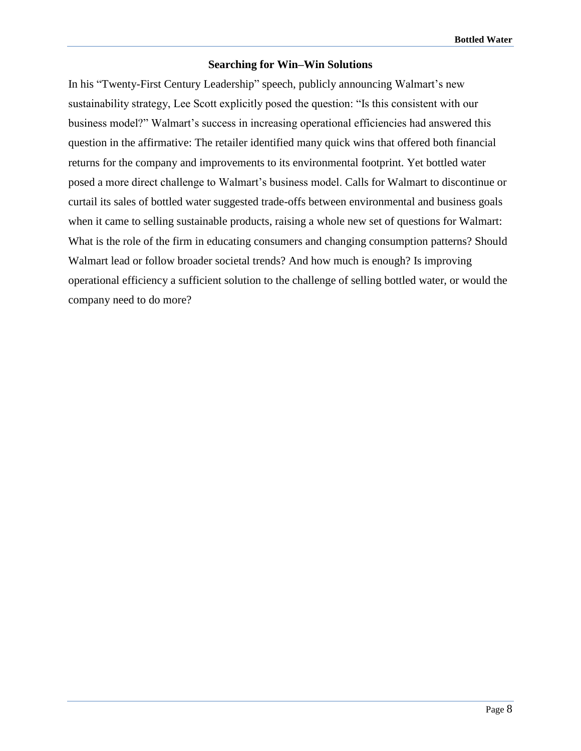# **Searching for Win–Win Solutions**

In his "Twenty-First Century Leadership" speech, publicly announcing Walmart's new sustainability strategy, Lee Scott explicitly posed the question: "Is this consistent with our business model?" Walmart's success in increasing operational efficiencies had answered this question in the affirmative: The retailer identified many quick wins that offered both financial returns for the company and improvements to its environmental footprint. Yet bottled water posed a more direct challenge to Walmart's business model. Calls for Walmart to discontinue or curtail its sales of bottled water suggested trade-offs between environmental and business goals when it came to selling sustainable products, raising a whole new set of questions for Walmart: What is the role of the firm in educating consumers and changing consumption patterns? Should Walmart lead or follow broader societal trends? And how much is enough? Is improving operational efficiency a sufficient solution to the challenge of selling bottled water, or would the company need to do more?